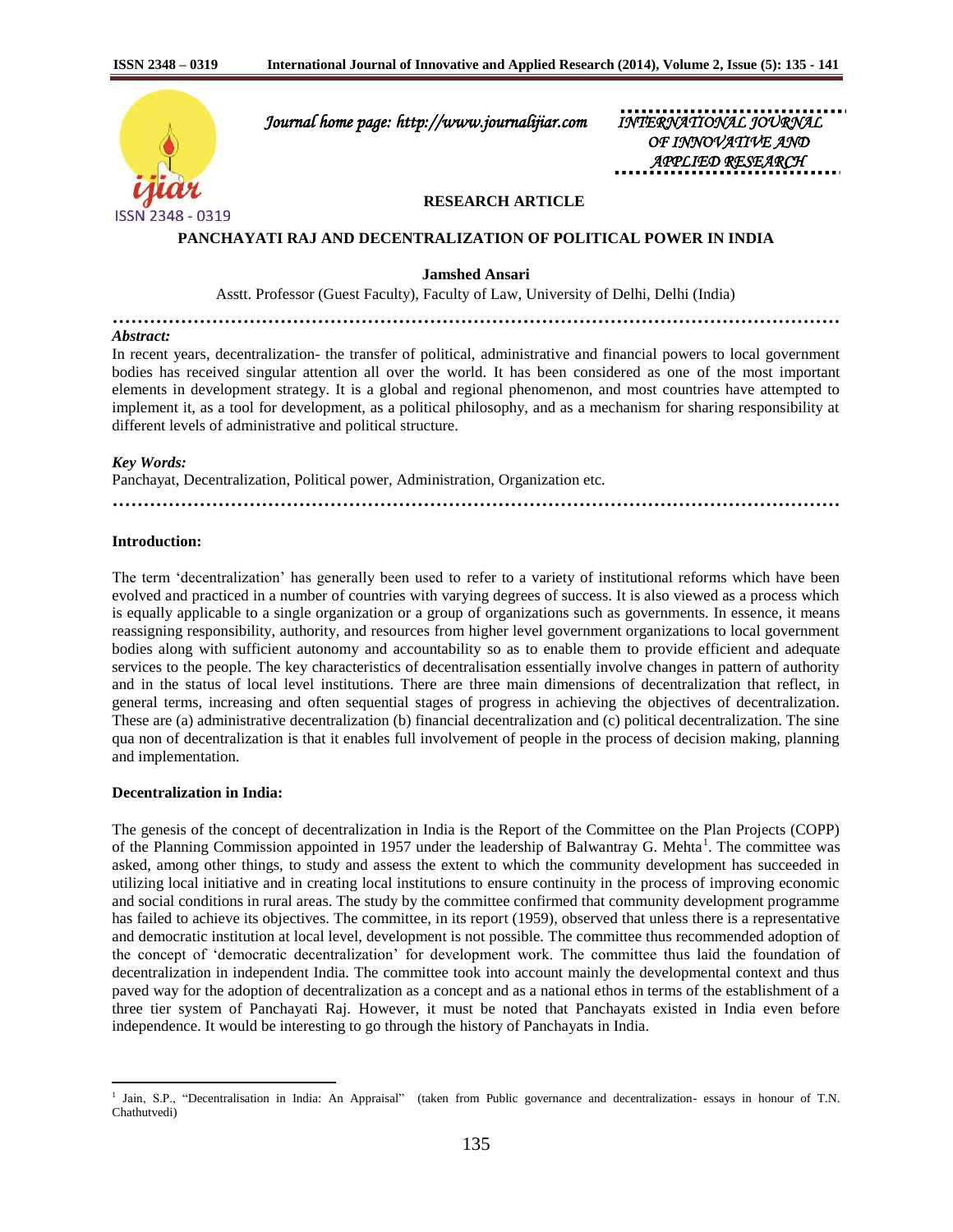

 *Journal home page: http://www.journalijiar.com INTERNATIONAL JOURNAL* 

*OF INNOVATIVE AND APPLIED RESEARCH* 

# **RESEARCH ARTICLE**

### **PANCHAYATI RAJ AND DECENTRALIZATION OF POLITICAL POWER IN INDIA**

**Jamshed Ansari**

Asstt. Professor (Guest Faculty), Faculty of Law, University of Delhi, Delhi (India)

**………………………………………………………………………………………………………**

#### *Abstract:*

In recent years, decentralization- the transfer of political, administrative and financial powers to local government bodies has received singular attention all over the world. It has been considered as one of the most important elements in development strategy. It is a global and regional phenomenon, and most countries have attempted to implement it, as a tool for development, as a political philosophy, and as a mechanism for sharing responsibility at different levels of administrative and political structure.

## *Key Words:*

Panchayat, Decentralization, Political power, Administration, Organization etc.

**………………………………………………………………………………………………………**

## **Introduction:**

The term "decentralization" has generally been used to refer to a variety of institutional reforms which have been evolved and practiced in a number of countries with varying degrees of success. It is also viewed as a process which is equally applicable to a single organization or a group of organizations such as governments. In essence, it means reassigning responsibility, authority, and resources from higher level government organizations to local government bodies along with sufficient autonomy and accountability so as to enable them to provide efficient and adequate services to the people. The key characteristics of decentralisation essentially involve changes in pattern of authority and in the status of local level institutions. There are three main dimensions of decentralization that reflect, in general terms, increasing and often sequential stages of progress in achieving the objectives of decentralization. These are (a) administrative decentralization (b) financial decentralization and (c) political decentralization. The sine qua non of decentralization is that it enables full involvement of people in the process of decision making, planning and implementation.

# **Decentralization in India:**

 $\overline{a}$ 

The genesis of the concept of decentralization in India is the Report of the Committee on the Plan Projects (COPP) of the Planning Commission appointed in 1957 under the leadership of Balwantray G. Mehta<sup>1</sup>. The committee was asked, among other things, to study and assess the extent to which the community development has succeeded in utilizing local initiative and in creating local institutions to ensure continuity in the process of improving economic and social conditions in rural areas. The study by the committee confirmed that community development programme has failed to achieve its objectives. The committee, in its report (1959), observed that unless there is a representative and democratic institution at local level, development is not possible. The committee thus recommended adoption of the concept of "democratic decentralization" for development work. The committee thus laid the foundation of decentralization in independent India. The committee took into account mainly the developmental context and thus paved way for the adoption of decentralization as a concept and as a national ethos in terms of the establishment of a three tier system of Panchayati Raj. However, it must be noted that Panchayats existed in India even before independence. It would be interesting to go through the history of Panchayats in India.

<sup>1</sup> Jain, S.P., "Decentralisation in India: An Appraisal" (taken from Public governance and decentralization- essays in honour of T.N. Chathutvedi)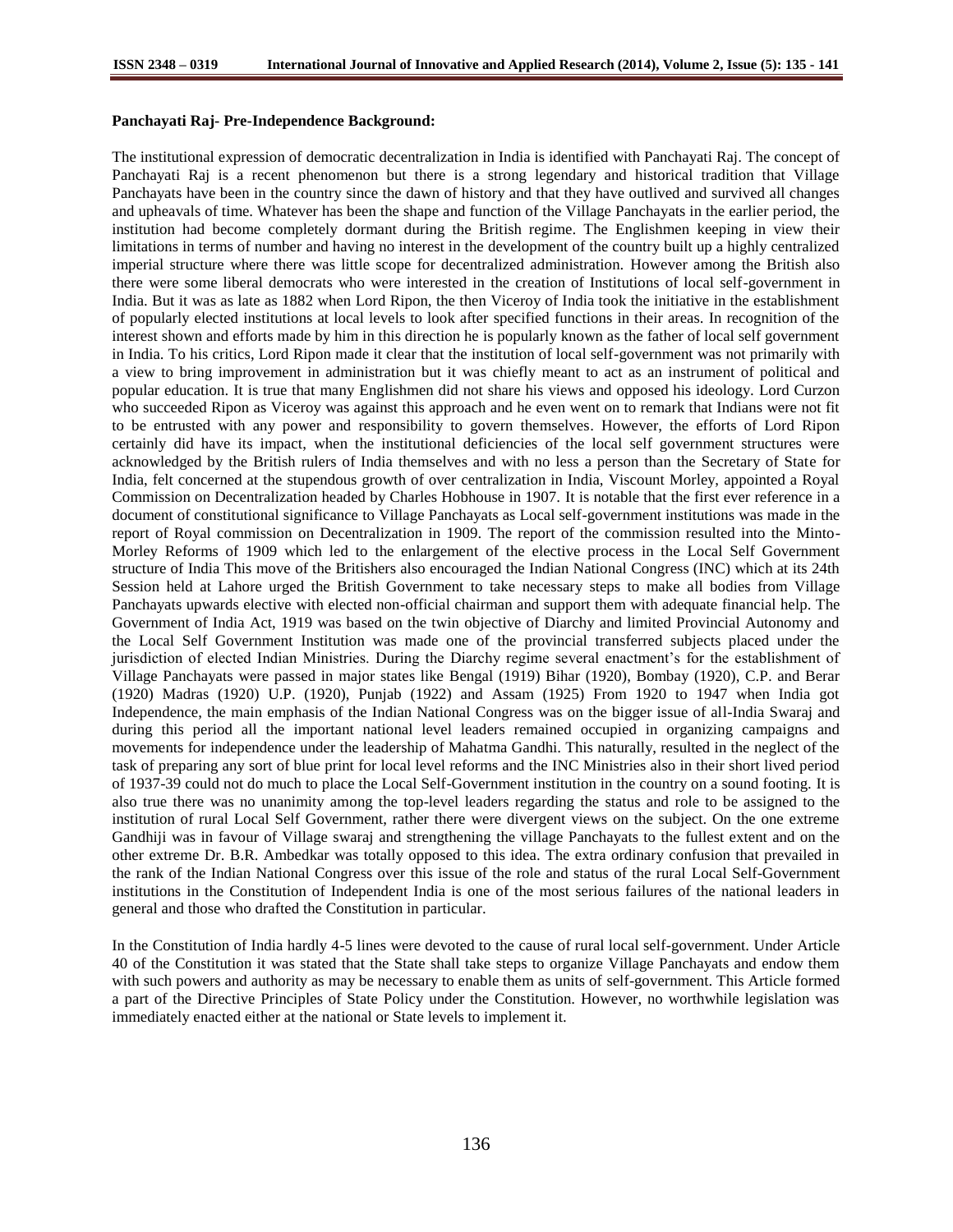### **Panchayati Raj- Pre-Independence Background:**

The institutional expression of democratic decentralization in India is identified with Panchayati Raj. The concept of Panchayati Raj is a recent phenomenon but there is a strong legendary and historical tradition that Village Panchayats have been in the country since the dawn of history and that they have outlived and survived all changes and upheavals of time. Whatever has been the shape and function of the Village Panchayats in the earlier period, the institution had become completely dormant during the British regime. The Englishmen keeping in view their limitations in terms of number and having no interest in the development of the country built up a highly centralized imperial structure where there was little scope for decentralized administration. However among the British also there were some liberal democrats who were interested in the creation of Institutions of local self-government in India. But it was as late as 1882 when Lord Ripon, the then Viceroy of India took the initiative in the establishment of popularly elected institutions at local levels to look after specified functions in their areas. In recognition of the interest shown and efforts made by him in this direction he is popularly known as the father of local self government in India. To his critics, Lord Ripon made it clear that the institution of local self-government was not primarily with a view to bring improvement in administration but it was chiefly meant to act as an instrument of political and popular education. It is true that many Englishmen did not share his views and opposed his ideology. Lord Curzon who succeeded Ripon as Viceroy was against this approach and he even went on to remark that Indians were not fit to be entrusted with any power and responsibility to govern themselves. However, the efforts of Lord Ripon certainly did have its impact, when the institutional deficiencies of the local self government structures were acknowledged by the British rulers of India themselves and with no less a person than the Secretary of State for India, felt concerned at the stupendous growth of over centralization in India, Viscount Morley, appointed a Royal Commission on Decentralization headed by Charles Hobhouse in 1907. It is notable that the first ever reference in a document of constitutional significance to Village Panchayats as Local self-government institutions was made in the report of Royal commission on Decentralization in 1909. The report of the commission resulted into the Minto-Morley Reforms of 1909 which led to the enlargement of the elective process in the Local Self Government structure of India This move of the Britishers also encouraged the Indian National Congress (INC) which at its 24th Session held at Lahore urged the British Government to take necessary steps to make all bodies from Village Panchayats upwards elective with elected non-official chairman and support them with adequate financial help. The Government of India Act, 1919 was based on the twin objective of Diarchy and limited Provincial Autonomy and the Local Self Government Institution was made one of the provincial transferred subjects placed under the jurisdiction of elected Indian Ministries. During the Diarchy regime several enactment's for the establishment of Village Panchayats were passed in major states like Bengal (1919) Bihar (1920), Bombay (1920), C.P. and Berar (1920) Madras (1920) U.P. (1920), Punjab (1922) and Assam (1925) From 1920 to 1947 when India got Independence, the main emphasis of the Indian National Congress was on the bigger issue of all-India Swaraj and during this period all the important national level leaders remained occupied in organizing campaigns and movements for independence under the leadership of Mahatma Gandhi. This naturally, resulted in the neglect of the task of preparing any sort of blue print for local level reforms and the INC Ministries also in their short lived period of 1937-39 could not do much to place the Local Self-Government institution in the country on a sound footing. It is also true there was no unanimity among the top-level leaders regarding the status and role to be assigned to the institution of rural Local Self Government, rather there were divergent views on the subject. On the one extreme Gandhiji was in favour of Village swaraj and strengthening the village Panchayats to the fullest extent and on the other extreme Dr. B.R. Ambedkar was totally opposed to this idea. The extra ordinary confusion that prevailed in the rank of the Indian National Congress over this issue of the role and status of the rural Local Self-Government institutions in the Constitution of Independent India is one of the most serious failures of the national leaders in general and those who drafted the Constitution in particular.

In the Constitution of India hardly 4-5 lines were devoted to the cause of rural local self-government. Under Article 40 of the Constitution it was stated that the State shall take steps to organize Village Panchayats and endow them with such powers and authority as may be necessary to enable them as units of self-government. This Article formed a part of the Directive Principles of State Policy under the Constitution. However, no worthwhile legislation was immediately enacted either at the national or State levels to implement it.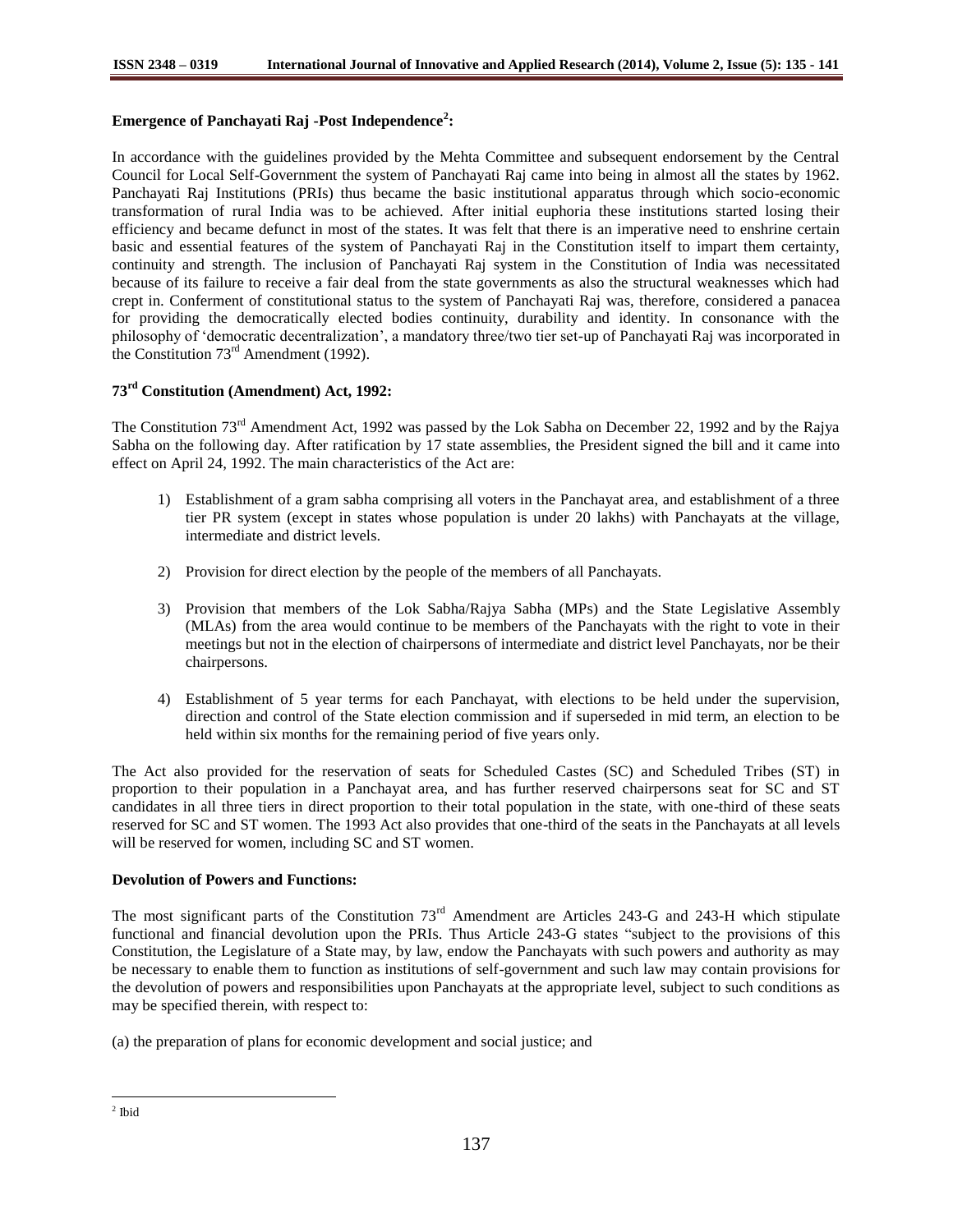# **Emergence of Panchayati Raj -Post Independence<sup>2</sup> :**

In accordance with the guidelines provided by the Mehta Committee and subsequent endorsement by the Central Council for Local Self-Government the system of Panchayati Raj came into being in almost all the states by 1962. Panchayati Raj Institutions (PRIs) thus became the basic institutional apparatus through which socio-economic transformation of rural India was to be achieved. After initial euphoria these institutions started losing their efficiency and became defunct in most of the states. It was felt that there is an imperative need to enshrine certain basic and essential features of the system of Panchayati Raj in the Constitution itself to impart them certainty, continuity and strength. The inclusion of Panchayati Raj system in the Constitution of India was necessitated because of its failure to receive a fair deal from the state governments as also the structural weaknesses which had crept in. Conferment of constitutional status to the system of Panchayati Raj was, therefore, considered a panacea for providing the democratically elected bodies continuity, durability and identity. In consonance with the philosophy of "democratic decentralization", a mandatory three/two tier set-up of Panchayati Raj was incorporated in the Constitution  $73<sup>rd</sup>$  Amendment (1992).

# **73rd Constitution (Amendment) Act, 1992:**

The Constitution  $73<sup>rd</sup>$  Amendment Act, 1992 was passed by the Lok Sabha on December 22, 1992 and by the Rajya Sabha on the following day. After ratification by 17 state assemblies, the President signed the bill and it came into effect on April 24, 1992. The main characteristics of the Act are:

- 1) Establishment of a gram sabha comprising all voters in the Panchayat area, and establishment of a three tier PR system (except in states whose population is under 20 lakhs) with Panchayats at the village, intermediate and district levels.
- 2) Provision for direct election by the people of the members of all Panchayats.
- 3) Provision that members of the Lok Sabha/Rajya Sabha (MPs) and the State Legislative Assembly (MLAs) from the area would continue to be members of the Panchayats with the right to vote in their meetings but not in the election of chairpersons of intermediate and district level Panchayats, nor be their chairpersons.
- 4) Establishment of 5 year terms for each Panchayat, with elections to be held under the supervision, direction and control of the State election commission and if superseded in mid term, an election to be held within six months for the remaining period of five years only.

The Act also provided for the reservation of seats for Scheduled Castes (SC) and Scheduled Tribes (ST) in proportion to their population in a Panchayat area, and has further reserved chairpersons seat for SC and ST candidates in all three tiers in direct proportion to their total population in the state, with one-third of these seats reserved for SC and ST women. The 1993 Act also provides that one-third of the seats in the Panchayats at all levels will be reserved for women, including SC and ST women.

# **Devolution of Powers and Functions:**

The most significant parts of the Constitution 73<sup>rd</sup> Amendment are Articles 243-G and 243-H which stipulate functional and financial devolution upon the PRIs. Thus Article 243-G states "subject to the provisions of this Constitution, the Legislature of a State may, by law, endow the Panchayats with such powers and authority as may be necessary to enable them to function as institutions of self-government and such law may contain provisions for the devolution of powers and responsibilities upon Panchayats at the appropriate level, subject to such conditions as may be specified therein, with respect to:

(a) the preparation of plans for economic development and social justice; and

 2 Ibid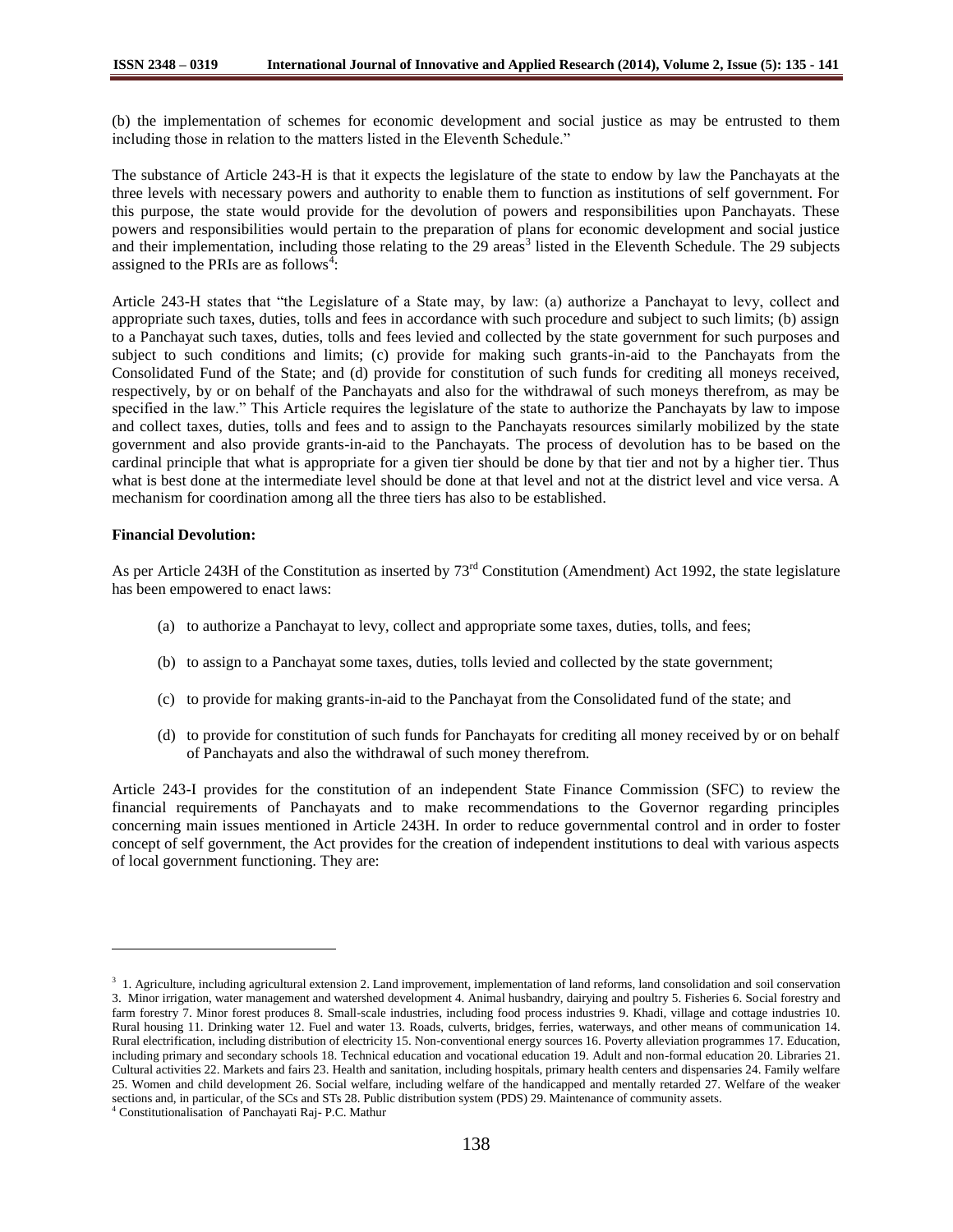(b) the implementation of schemes for economic development and social justice as may be entrusted to them including those in relation to the matters listed in the Eleventh Schedule."

The substance of Article 243-H is that it expects the legislature of the state to endow by law the Panchayats at the three levels with necessary powers and authority to enable them to function as institutions of self government. For this purpose, the state would provide for the devolution of powers and responsibilities upon Panchayats. These powers and responsibilities would pertain to the preparation of plans for economic development and social justice and their implementation, including those relating to the 29 areas<sup>3</sup> listed in the Eleventh Schedule. The 29 subjects assigned to the PRIs are as follows<sup> $\frac{3}{1}$ </sup>:

Article 243-H states that "the Legislature of a State may, by law: (a) authorize a Panchayat to levy, collect and appropriate such taxes, duties, tolls and fees in accordance with such procedure and subject to such limits; (b) assign to a Panchayat such taxes, duties, tolls and fees levied and collected by the state government for such purposes and subject to such conditions and limits; (c) provide for making such grants-in-aid to the Panchayats from the Consolidated Fund of the State; and (d) provide for constitution of such funds for crediting all moneys received, respectively, by or on behalf of the Panchayats and also for the withdrawal of such moneys therefrom, as may be specified in the law." This Article requires the legislature of the state to authorize the Panchayats by law to impose and collect taxes, duties, tolls and fees and to assign to the Panchayats resources similarly mobilized by the state government and also provide grants-in-aid to the Panchayats. The process of devolution has to be based on the cardinal principle that what is appropriate for a given tier should be done by that tier and not by a higher tier. Thus what is best done at the intermediate level should be done at that level and not at the district level and vice versa. A mechanism for coordination among all the three tiers has also to be established.

### **Financial Devolution:**

 $\overline{a}$ 

As per Article 243H of the Constitution as inserted by 73rd Constitution (Amendment) Act 1992, the state legislature has been empowered to enact laws:

- (a) to authorize a Panchayat to levy, collect and appropriate some taxes, duties, tolls, and fees;
- (b) to assign to a Panchayat some taxes, duties, tolls levied and collected by the state government;
- (c) to provide for making grants-in-aid to the Panchayat from the Consolidated fund of the state; and
- (d) to provide for constitution of such funds for Panchayats for crediting all money received by or on behalf of Panchayats and also the withdrawal of such money therefrom.

Article 243-I provides for the constitution of an independent State Finance Commission (SFC) to review the financial requirements of Panchayats and to make recommendations to the Governor regarding principles concerning main issues mentioned in Article 243H. In order to reduce governmental control and in order to foster concept of self government, the Act provides for the creation of independent institutions to deal with various aspects of local government functioning. They are:

<sup>&</sup>lt;sup>3</sup> 1. Agriculture, including agricultural extension 2. Land improvement, implementation of land reforms, land consolidation and soil conservation 3. Minor irrigation, water management and watershed development 4. Animal husbandry, dairying and poultry 5. Fisheries 6. Social forestry and farm forestry 7. Minor forest produces 8. Small-scale industries, including food process industries 9. Khadi, village and cottage industries 10. Rural housing 11. Drinking water 12. Fuel and water 13. Roads, culverts, bridges, ferries, waterways, and other means of communication 14. Rural electrification, including distribution of electricity 15. Non-conventional energy sources 16. Poverty alleviation programmes 17. Education, including primary and secondary schools 18. Technical education and vocational education 19. Adult and non-formal education 20. Libraries 21. Cultural activities 22. Markets and fairs 23. Health and sanitation, including hospitals, primary health centers and dispensaries 24. Family welfare 25. Women and child development 26. Social welfare, including welfare of the handicapped and mentally retarded 27. Welfare of the weaker sections and, in particular, of the SCs and STs 28. Public distribution system (PDS) 29. Maintenance of community assets. <sup>4</sup> Constitutionalisation of Panchayati Raj- P.C. Mathur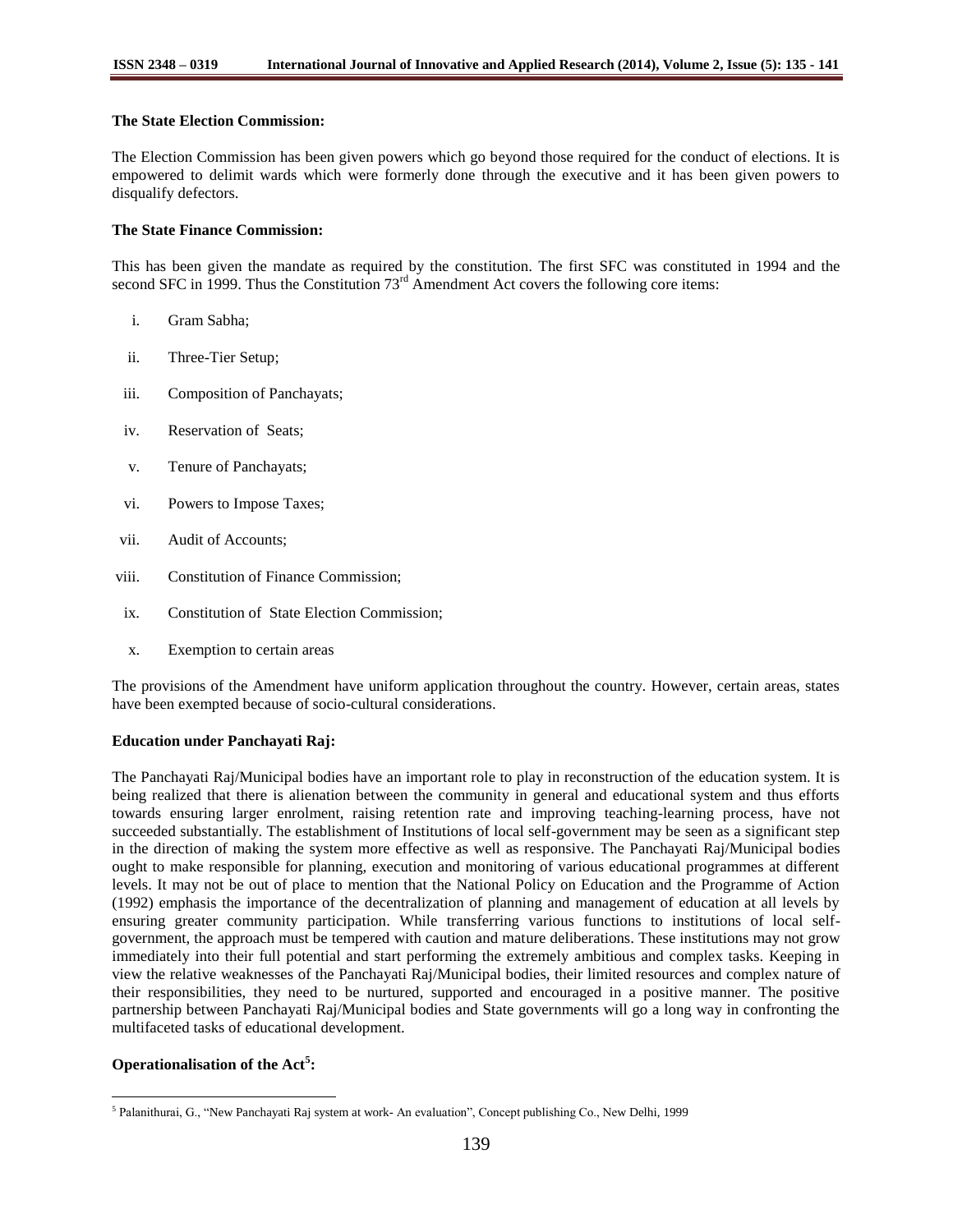# **The State Election Commission:**

The Election Commission has been given powers which go beyond those required for the conduct of elections. It is empowered to delimit wards which were formerly done through the executive and it has been given powers to disqualify defectors.

# **The State Finance Commission:**

This has been given the mandate as required by the constitution. The first SFC was constituted in 1994 and the second SFC in 1999. Thus the Constitution  $73<sup>rd</sup>$  Amendment Act covers the following core items:

- i. Gram Sabha;
- ii. Three-Tier Setup;
- iii. Composition of Panchayats;
- iv. Reservation of Seats;
- v. Tenure of Panchayats;
- vi. Powers to Impose Taxes;
- vii. Audit of Accounts;
- viii. Constitution of Finance Commission;
- ix. Constitution of State Election Commission;
- x. Exemption to certain areas

The provisions of the Amendment have uniform application throughout the country. However, certain areas, states have been exempted because of socio-cultural considerations.

## **Education under Panchayati Raj:**

The Panchayati Raj/Municipal bodies have an important role to play in reconstruction of the education system. It is being realized that there is alienation between the community in general and educational system and thus efforts towards ensuring larger enrolment, raising retention rate and improving teaching-learning process, have not succeeded substantially. The establishment of Institutions of local self-government may be seen as a significant step in the direction of making the system more effective as well as responsive. The Panchayati Raj/Municipal bodies ought to make responsible for planning, execution and monitoring of various educational programmes at different levels. It may not be out of place to mention that the National Policy on Education and the Programme of Action (1992) emphasis the importance of the decentralization of planning and management of education at all levels by ensuring greater community participation. While transferring various functions to institutions of local selfgovernment, the approach must be tempered with caution and mature deliberations. These institutions may not grow immediately into their full potential and start performing the extremely ambitious and complex tasks. Keeping in view the relative weaknesses of the Panchayati Raj/Municipal bodies, their limited resources and complex nature of their responsibilities, they need to be nurtured, supported and encouraged in a positive manner. The positive partnership between Panchayati Raj/Municipal bodies and State governments will go a long way in confronting the multifaceted tasks of educational development.

# **Operationalisation of the Act<sup>5</sup> :**

 $\overline{a}$ 

<sup>&</sup>lt;sup>5</sup> Palanithurai, G., "New Panchayati Raj system at work- An evaluation", Concept publishing Co., New Delhi, 1999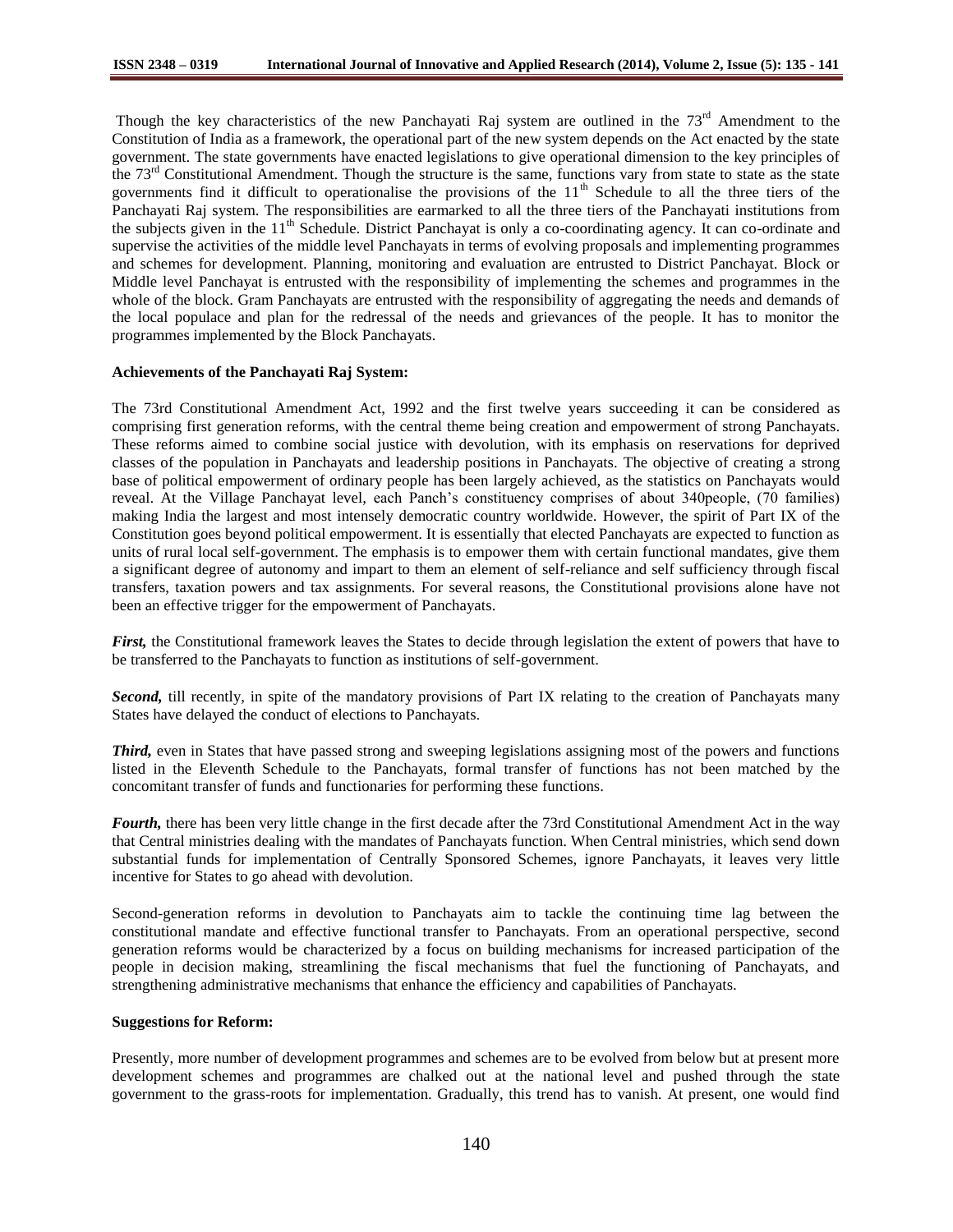Though the key characteristics of the new Panchayati Raj system are outlined in the  $73<sup>rd</sup>$  Amendment to the Constitution of India as a framework, the operational part of the new system depends on the Act enacted by the state government. The state governments have enacted legislations to give operational dimension to the key principles of the  $73<sup>rd</sup>$  Constitutional Amendment. Though the structure is the same, functions vary from state to state as the state governments find it difficult to operationalise the provisions of the  $11<sup>th</sup>$  Schedule to all the three tiers of the Panchayati Raj system. The responsibilities are earmarked to all the three tiers of the Panchayati institutions from the subjects given in the  $11<sup>th</sup>$  Schedule. District Panchayat is only a co-coordinating agency. It can co-ordinate and supervise the activities of the middle level Panchayats in terms of evolving proposals and implementing programmes and schemes for development. Planning, monitoring and evaluation are entrusted to District Panchayat. Block or Middle level Panchayat is entrusted with the responsibility of implementing the schemes and programmes in the whole of the block. Gram Panchayats are entrusted with the responsibility of aggregating the needs and demands of the local populace and plan for the redressal of the needs and grievances of the people. It has to monitor the programmes implemented by the Block Panchayats.

### **Achievements of the Panchayati Raj System:**

The 73rd Constitutional Amendment Act, 1992 and the first twelve years succeeding it can be considered as comprising first generation reforms, with the central theme being creation and empowerment of strong Panchayats. These reforms aimed to combine social justice with devolution, with its emphasis on reservations for deprived classes of the population in Panchayats and leadership positions in Panchayats. The objective of creating a strong base of political empowerment of ordinary people has been largely achieved, as the statistics on Panchayats would reveal. At the Village Panchayat level, each Panch"s constituency comprises of about 340people, (70 families) making India the largest and most intensely democratic country worldwide. However, the spirit of Part IX of the Constitution goes beyond political empowerment. It is essentially that elected Panchayats are expected to function as units of rural local self-government. The emphasis is to empower them with certain functional mandates, give them a significant degree of autonomy and impart to them an element of self-reliance and self sufficiency through fiscal transfers, taxation powers and tax assignments. For several reasons, the Constitutional provisions alone have not been an effective trigger for the empowerment of Panchayats.

*First,* the Constitutional framework leaves the States to decide through legislation the extent of powers that have to be transferred to the Panchayats to function as institutions of self-government.

*Second,* till recently, in spite of the mandatory provisions of Part IX relating to the creation of Panchayats many States have delayed the conduct of elections to Panchayats.

*Third,* even in States that have passed strong and sweeping legislations assigning most of the powers and functions listed in the Eleventh Schedule to the Panchayats, formal transfer of functions has not been matched by the concomitant transfer of funds and functionaries for performing these functions.

*Fourth,* there has been very little change in the first decade after the 73rd Constitutional Amendment Act in the way that Central ministries dealing with the mandates of Panchayats function. When Central ministries, which send down substantial funds for implementation of Centrally Sponsored Schemes, ignore Panchayats, it leaves very little incentive for States to go ahead with devolution.

Second-generation reforms in devolution to Panchayats aim to tackle the continuing time lag between the constitutional mandate and effective functional transfer to Panchayats. From an operational perspective, second generation reforms would be characterized by a focus on building mechanisms for increased participation of the people in decision making, streamlining the fiscal mechanisms that fuel the functioning of Panchayats, and strengthening administrative mechanisms that enhance the efficiency and capabilities of Panchayats.

### **Suggestions for Reform:**

Presently, more number of development programmes and schemes are to be evolved from below but at present more development schemes and programmes are chalked out at the national level and pushed through the state government to the grass-roots for implementation. Gradually, this trend has to vanish. At present, one would find